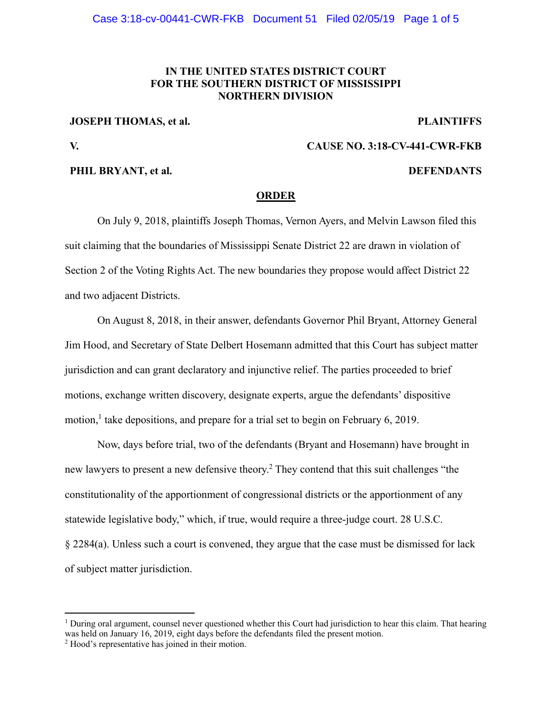## **IN THE UNITED STATES DISTRICT COURT FOR THE SOUTHERN DISTRICT OF MISSISSIPPI NORTHERN DIVISION**

**JOSEPH THOMAS, et al.** PLAINTIFFS

**V. CAUSE NO. 3:18-CV-441-CWR-FKB** 

### **PHIL BRYANT, et al. DEFENDANTS**

### **ORDER**

 On July 9, 2018, plaintiffs Joseph Thomas, Vernon Ayers, and Melvin Lawson filed this suit claiming that the boundaries of Mississippi Senate District 22 are drawn in violation of Section 2 of the Voting Rights Act. The new boundaries they propose would affect District 22 and two adjacent Districts.

On August 8, 2018, in their answer, defendants Governor Phil Bryant, Attorney General Jim Hood, and Secretary of State Delbert Hosemann admitted that this Court has subject matter jurisdiction and can grant declaratory and injunctive relief. The parties proceeded to brief motions, exchange written discovery, designate experts, argue the defendants' dispositive motion,<sup>1</sup> take depositions, and prepare for a trial set to begin on February 6, 2019.

Now, days before trial, two of the defendants (Bryant and Hosemann) have brought in new lawyers to present a new defensive theory.<sup>2</sup> They contend that this suit challenges "the constitutionality of the apportionment of congressional districts or the apportionment of any statewide legislative body," which, if true, would require a three-judge court. 28 U.S.C. § 2284(a). Unless such a court is convened, they argue that the case must be dismissed for lack of subject matter jurisdiction.

 $\overline{a}$ 

<sup>&</sup>lt;sup>1</sup> During oral argument, counsel never questioned whether this Court had jurisdiction to hear this claim. That hearing was held on January 16, 2019, eight days before the defendants filed the present motion.

<sup>&</sup>lt;sup>2</sup> Hood's representative has joined in their motion.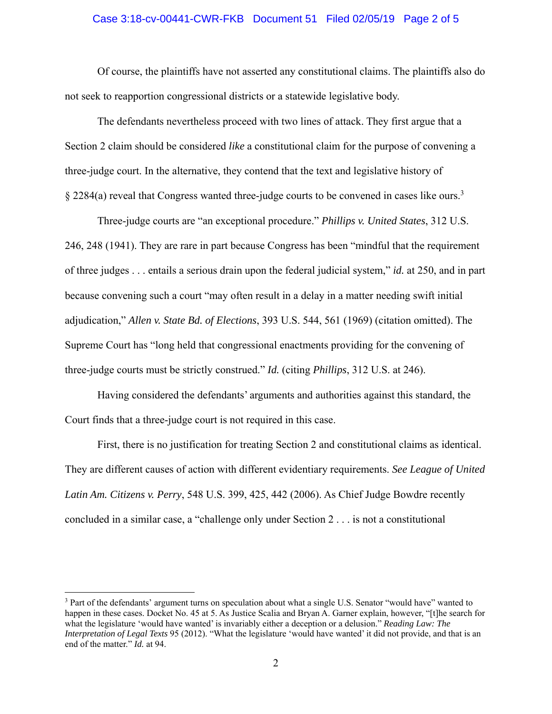#### Case 3:18-cv-00441-CWR-FKB Document 51 Filed 02/05/19 Page 2 of 5

Of course, the plaintiffs have not asserted any constitutional claims. The plaintiffs also do not seek to reapportion congressional districts or a statewide legislative body.

The defendants nevertheless proceed with two lines of attack. They first argue that a Section 2 claim should be considered *like* a constitutional claim for the purpose of convening a three-judge court. In the alternative, they contend that the text and legislative history of  $\S 2284(a)$  reveal that Congress wanted three-judge courts to be convened in cases like ours.<sup>3</sup>

 Three-judge courts are "an exceptional procedure." *Phillips v. United States*, 312 U.S. 246, 248 (1941). They are rare in part because Congress has been "mindful that the requirement of three judges . . . entails a serious drain upon the federal judicial system," *id.* at 250, and in part because convening such a court "may often result in a delay in a matter needing swift initial adjudication," *Allen v. State Bd. of Elections*, 393 U.S. 544, 561 (1969) (citation omitted). The Supreme Court has "long held that congressional enactments providing for the convening of three-judge courts must be strictly construed." *Id.* (citing *Phillips*, 312 U.S. at 246).

Having considered the defendants' arguments and authorities against this standard, the Court finds that a three-judge court is not required in this case.

First, there is no justification for treating Section 2 and constitutional claims as identical. They are different causes of action with different evidentiary requirements. *See League of United Latin Am. Citizens v. Perry*, 548 U.S. 399, 425, 442 (2006). As Chief Judge Bowdre recently concluded in a similar case, a "challenge only under Section 2 . . . is not a constitutional

<u>.</u>

<sup>&</sup>lt;sup>3</sup> Part of the defendants' argument turns on speculation about what a single U.S. Senator "would have" wanted to happen in these cases. Docket No. 45 at 5. As Justice Scalia and Bryan A. Garner explain, however, "[t]he search for what the legislature 'would have wanted' is invariably either a deception or a delusion." *Reading Law: The Interpretation of Legal Texts* 95 (2012). "What the legislature 'would have wanted' it did not provide, and that is an end of the matter." *Id.* at 94.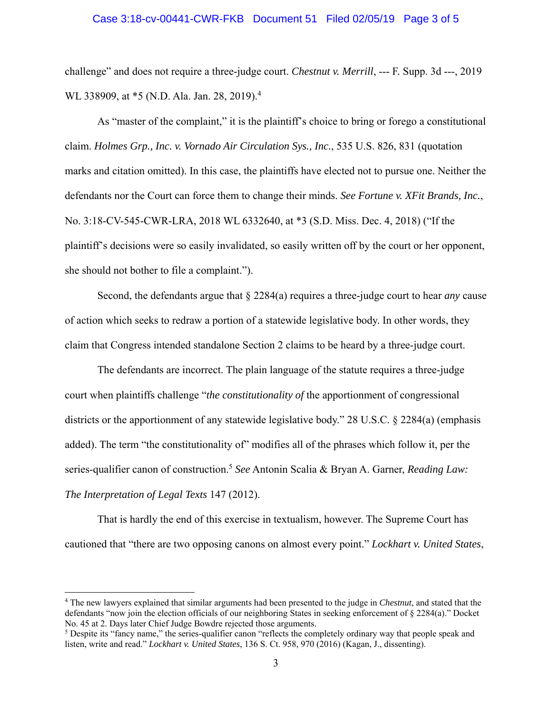#### Case 3:18-cv-00441-CWR-FKB Document 51 Filed 02/05/19 Page 3 of 5

challenge" and does not require a three-judge court. *Chestnut v. Merrill*, --- F. Supp. 3d ---, 2019 WL 338909, at \*5 (N.D. Ala. Jan. 28, 2019).<sup>4</sup>

As "master of the complaint," it is the plaintiff's choice to bring or forego a constitutional claim. *Holmes Grp., Inc. v. Vornado Air Circulation Sys., Inc.*, 535 U.S. 826, 831 (quotation marks and citation omitted). In this case, the plaintiffs have elected not to pursue one. Neither the defendants nor the Court can force them to change their minds. *See Fortune v. XFit Brands, Inc.*, No. 3:18-CV-545-CWR-LRA, 2018 WL 6332640, at \*3 (S.D. Miss. Dec. 4, 2018) ("If the plaintiff's decisions were so easily invalidated, so easily written off by the court or her opponent, she should not bother to file a complaint.").

Second, the defendants argue that § 2284(a) requires a three-judge court to hear *any* cause of action which seeks to redraw a portion of a statewide legislative body. In other words, they claim that Congress intended standalone Section 2 claims to be heard by a three-judge court.

The defendants are incorrect. The plain language of the statute requires a three-judge court when plaintiffs challenge "*the constitutionality of* the apportionment of congressional districts or the apportionment of any statewide legislative body." 28 U.S.C. § 2284(a) (emphasis added). The term "the constitutionality of" modifies all of the phrases which follow it, per the series-qualifier canon of construction.<sup>5</sup> See Antonin Scalia & Bryan A. Garner, *Reading Law*: *The Interpretation of Legal Texts* 147 (2012).

That is hardly the end of this exercise in textualism, however. The Supreme Court has cautioned that "there are two opposing canons on almost every point." *Lockhart v. United States*,

 $\overline{a}$ 

<sup>4</sup> The new lawyers explained that similar arguments had been presented to the judge in *Chestnut*, and stated that the defendants "now join the election officials of our neighboring States in seeking enforcement of § 2284(a)." Docket No. 45 at 2. Days later Chief Judge Bowdre rejected those arguments. 5

<sup>&</sup>lt;sup>5</sup> Despite its "fancy name," the series-qualifier canon "reflects the completely ordinary way that people speak and listen, write and read." *Lockhart v. United States*, 136 S. Ct. 958, 970 (2016) (Kagan, J., dissenting).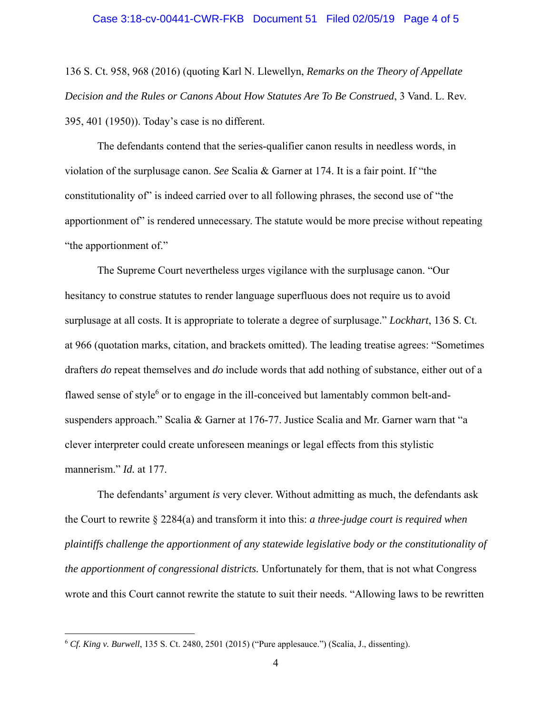# Case 3:18-cv-00441-CWR-FKB Document 51 Filed 02/05/19 Page 4 of 5

136 S. Ct. 958, 968 (2016) (quoting Karl N. Llewellyn, *Remarks on the Theory of Appellate Decision and the Rules or Canons About How Statutes Are To Be Construed*, 3 Vand. L. Rev. 395, 401 (1950)). Today's case is no different.

The defendants contend that the series-qualifier canon results in needless words, in violation of the surplusage canon. *See* Scalia & Garner at 174. It is a fair point. If "the constitutionality of" is indeed carried over to all following phrases, the second use of "the apportionment of" is rendered unnecessary. The statute would be more precise without repeating "the apportionment of."

The Supreme Court nevertheless urges vigilance with the surplusage canon. "Our hesitancy to construe statutes to render language superfluous does not require us to avoid surplusage at all costs. It is appropriate to tolerate a degree of surplusage." *Lockhart*, 136 S. Ct. at 966 (quotation marks, citation, and brackets omitted). The leading treatise agrees: "Sometimes drafters *do* repeat themselves and *do* include words that add nothing of substance, either out of a flawed sense of style<sup>6</sup> or to engage in the ill-conceived but lamentably common belt-andsuspenders approach." Scalia & Garner at 176-77. Justice Scalia and Mr. Garner warn that "a clever interpreter could create unforeseen meanings or legal effects from this stylistic mannerism." *Id.* at 177.

The defendants' argument *is* very clever. Without admitting as much, the defendants ask the Court to rewrite § 2284(a) and transform it into this: *a three-judge court is required when plaintiffs challenge the apportionment of any statewide legislative body or the constitutionality of the apportionment of congressional districts.* Unfortunately for them, that is not what Congress wrote and this Court cannot rewrite the statute to suit their needs. "Allowing laws to be rewritten

 $\overline{a}$ 

<sup>6</sup> *Cf. King v. Burwell*, 135 S. Ct. 2480, 2501 (2015) ("Pure applesauce.") (Scalia, J., dissenting).